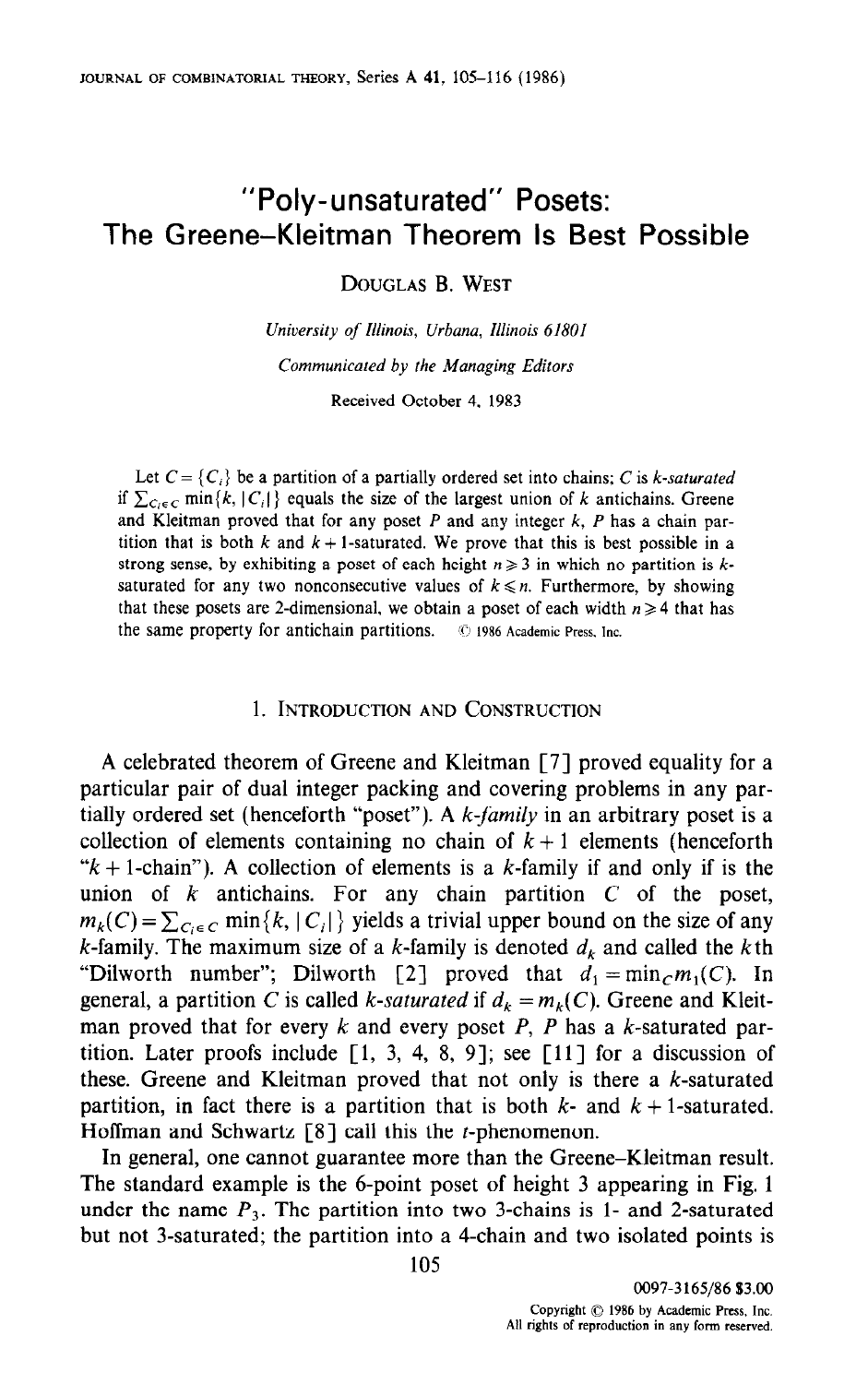# "Poly-unsaturated" Posets: The Greene-Kleitman Theorem Is Best Possible

DOUGLAS B. WEST

University of Illinois, Urbana, Illinois 61801 Communicated by the Managing Editors Received October 4. 1983

Let  $C = \{C_i\}$  be a partition of a partially ordered set into chains; C is k-saturated if  $\sum_{C_i \in C}$  min{k, | C<sub>i</sub>|} equals the size of the largest union of k antichains. Greene and Kleitman proved that for any poset  $P$  and any integer  $k$ ,  $P$  has a chain partition that is both k and  $k + 1$ -saturated. We prove that this is best possible in a strong sense, by exhibiting a poset of each height  $n \geq 3$  in which no partition is ksaturated for any two nonconsecutive values of  $k \le n$ . Furthermore, by showing that these posets are 2-dimensional, we obtain a poset of each width  $n \geq 4$  that has the same property for antichain partitions.  $\circ$  1986 Academic Press, Inc.

### 1. INTRODUCTION AND CONSTRUCTION

A celebrated theorem of Greene and Kleitman [7] proved equality for a particular pair of dual integer packing and covering problems in any partially ordered set (henceforth "poset"). A  $k$ -family in an arbitrary poset is a collection of elements containing no chain of  $k + 1$  elements (henceforth " $k + 1$ -chain"). A collection of elements is a k-family if and only if is the union of  $k$  antichains. For any chain partition  $C$  of the poset,  $m_k(C) = \sum_{C_i \in C} \min\{k, |C_i|\}$  yields a trivial upper bound on the size of any k-family. The maximum size of a k-family is denoted  $d_k$  and called the kth "Dilworth number"; Dilworth [2] proved that  $d_1 = \min_c m_1(C)$ . In general, a partition C is called k-saturated if  $d_k = m_k(C)$ . Greene and Kleitman proved that for every k and every poset P, P has a k-saturated partition. Later proofs include  $\lceil 1, 3, 4, 8, 9 \rceil$ ; see  $\lceil 11 \rceil$  for a discussion of these. Greene and Kleitman proved that not only is there a  $k$ -saturated partition, in fact there is a partition that is both  $k$ - and  $k + 1$ -saturated. Hoffman and Schwartz  $[8]$  call this the *t*-phenomenon.

In general, one cannot guarantee more than the Greene-Kleitman result. The state is the standard example in the 6-point poset of the 11 appearance of the 11 appearing in Fig. 12 appearing in Fig. 12 appearing in Fig. 12 appearing in Fig. 12 appearing in Fig. 12 appearing in Fig. 12 appearing The standard example is the o-point poset of height 3-appearing in 1 ig. under the name  $P_3$ . The partition into two 3-chains is 1- and 2-saturated but not 3-saturated; the partition into a 4-chain and two isolated points is<br>105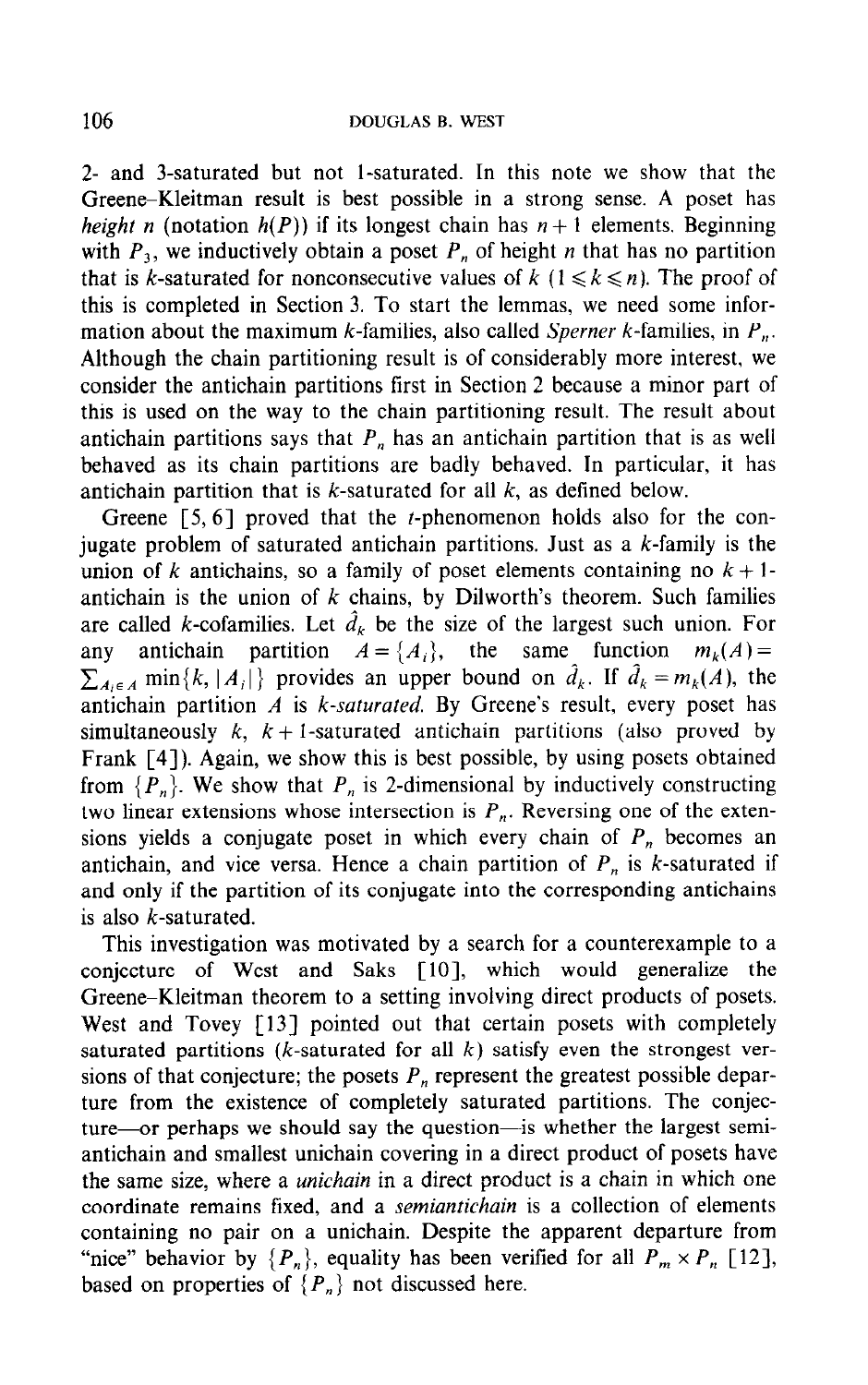2- and 3-saturated but not l-saturated. In this note we show that the Greene-Kleitman result is best possible in a strong sense. A poset has height n (notation  $h(P)$ ) if its longest chain has  $n + 1$  elements. Beginning with  $P_3$ , we inductively obtain a poset  $P_n$  of height n that has no partition that is k-saturated for nonconsecutive values of  $k \in \{1 \leq k \leq n\}$ . The proof of this is completed in Section 3. To start the lemmas, we need some information about the maximum k-families, also called Sperner k-families, in  $P_n$ . Although the chain partitioning result is of considerably more interest, we consider the antichain partitions first in Section 2 because a minor part of this is used on the way to the chain partitioning result. The result about antichain partitions says that  $P_n$  has an antichain partition that is as well behaved as its chain partitions are badly behaved. In particular, it has antichain partition that is  $k$ -saturated for all  $k$ , as defined below.

Greene  $[5, 6]$  proved that the *t*-phenomenon holds also for the conjugate problem of saturated antichain partitions. Just as a  $k$ -family is the union of k antichains, so a family of poset elements containing no  $k + 1$ antichain is the union of  $k$  chains, by Dilworth's theorem. Such families are called k-cofamilies. Let  $\hat{d}_k$  be the size of the largest such union. For any antichain partition  $A = \{A_i\}$ , the same function  $m_k(A) =$  $\sum_{i \in A}$  min $\{k, |A_i|\}$  provides an upper bound on  $\hat{d}_k$ . If  $\hat{d}_k = m_k(A)$ , the antichain partition  $A$  is  $k$ -saturated. By Greene's result, every poset has simultaneously k,  $k + 1$ -saturated antichain partitions (also proved by Frank [4]). Again, we show this is best possible, by using posets obtained from  $\{P_n\}$ . We show that  $P_n$  is 2-dimensional by inductively constructing two linear extensions whose intersection is  $P_n$ . Reversing one of the extensions yields a conjugate poset in which every chain of  $P_n$  becomes an antichain, and vice versa. Hence a chain partition of  $P_n$  is k-saturated if and only if the partition of its conjugate into the corresponding antichains is also k-saturated.

This investigation was motivated by a search for a counterexample to a conjecture of West and Saks [10], which would generalize the Greene-Kleitman theorem to a setting involving direct products of posets. West and Tovey [13] pointed out that certain posets with completely saturated partitions (*k*-saturated for all  $k$ ) satisfy even the strongest versions of that conjecture; the posets  $P_n$  represent the greatest possible departure from the existence of completely saturated partitions. The conjecture-nome inc. existence or completely saturated partners. The conject ture or perhaps we should say the question as whether the largest semiantichain and smallest unichain covering in a direct product of posets nave the same size, where a *unichain* in a sirect product is a chain in which one coordinate remains fixed, and a *semunicially* is a concentrol of cicineties containing no pair on a unicitain. Desprie the apparent departure from "nice" behavior by  $\{P_n\}$ , equality has been verified for all  $P_m \times P_n$  [12], based on properties of  $\{P_n\}$  not discussed here.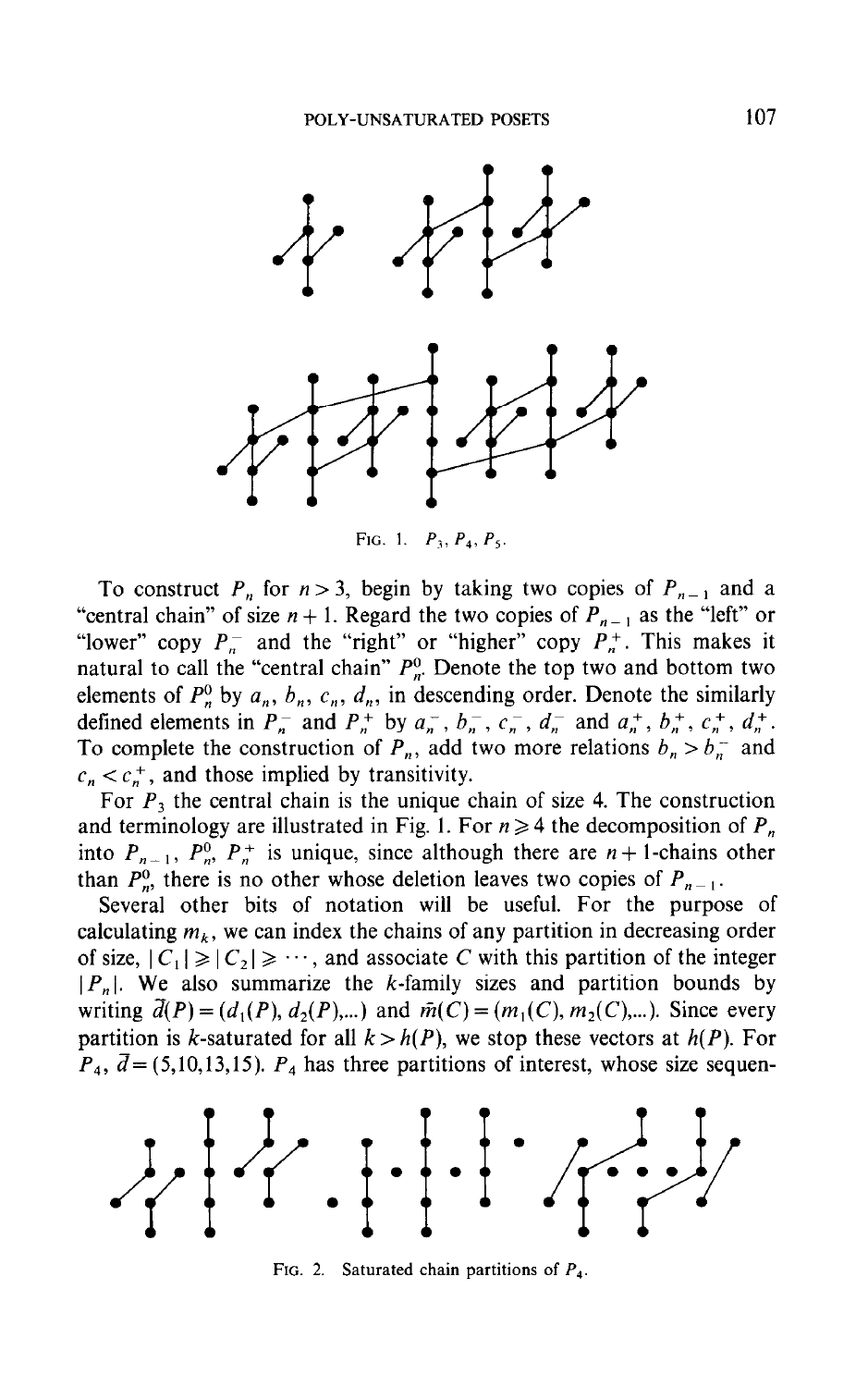

FIG. 1.  $P_3$ ,  $P_4$ ,  $P_5$ .

To construct  $P_n$  for  $n > 3$ , begin by taking two copies of  $P_{n-1}$  and a "central chain" of size  $n + 1$ . Regard the two copies of  $P_{n-1}$  as the "left" or "lower" copy  $P_n^-$  and the "right" or "higher" copy  $P_n^+$ . This makes it natural to call the "central chain"  $P_n^0$ . Denote the top two and bottom two elements of  $P_n^0$  by  $a_n$ ,  $b_n$ ,  $c_n$ ,  $d_n$ , in descending order. Denote the similarly defined elements in  $P_n^-$  and  $P_n^+$  by  $a_n^-$ ,  $b_n^-$ ,  $c_n^-$ ,  $d_n^-$  and  $a_n^+$ ,  $b_n^+$ ,  $c_n^+$ ,  $d_n^+$ . To complete the construction of  $P_n$ , add two more relations  $b_n > b_n^-$  and  $c_n < c_n^+$ , and those implied by transitivity.

For  $P_3$  the central chain is the unique chain of size 4. The construction and terminology are illustrated in Fig. 1. For  $n \geq 4$  the decomposition of  $P_n$ into  $P_{n-1}$ ,  $P_n^0$ ,  $P_n^+$  is unique, since although there are  $n+1$ -chains other than  $P_n^0$ , there is no other whose deletion leaves two copies of  $P_{n-1}$ .

Several other bits of notation will be useful. For the purpose of calculating  $m_k$ , we can index the chains of any partition in decreasing order of size,  $|C_1| \ge |C_2| \ge \cdots$ , and associate C with this partition of the integer  $|P_n|$ . We also summarize the k-family sizes and partition bounds by writing  $\vec{d}(P) = (d_1(P), d_2(P),...)$  and  $\vec{m}(C) = (m_1(C), m_2(C),...)$ . Since every partition is k-saturated for all  $k > h(P)$ , we stop these vectors at  $h(P)$ . For  $P_4$ ,  $\bar{d} = (5,10,13,15)$ .  $P_4$  has three partitions of interest, whose size sequen-



FIG. 2. Saturated chain partitions of  $P_4$ .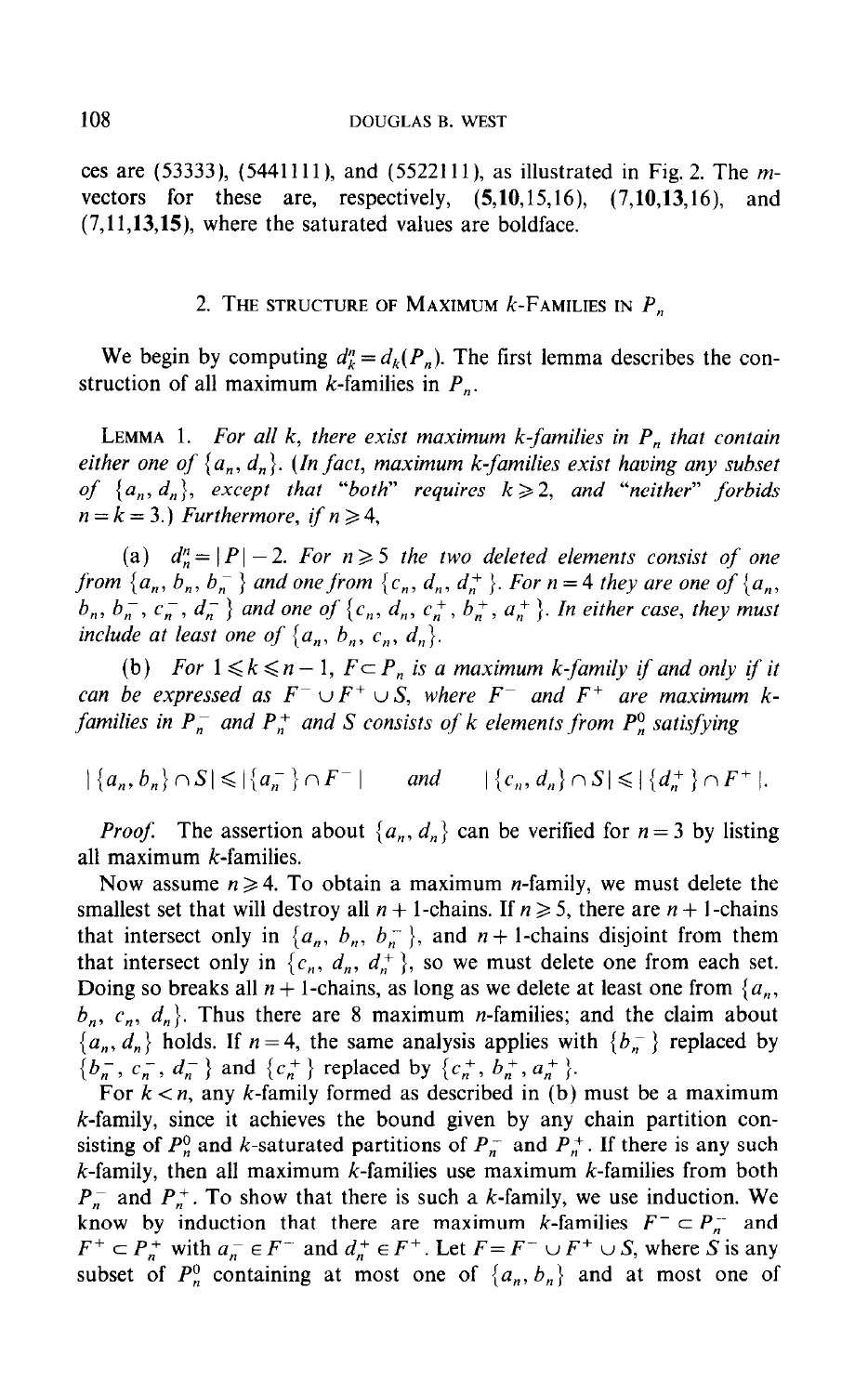ces are  $(53333)$ ,  $(5441111)$ , and  $(5522111)$ , as illustrated in Fig. 2. The mvectors for these are, respectively,  $(5,10,15,16)$ ,  $(7,10,13,16)$ , and (7,11,13,15), where the saturated values are boldface.

#### 2. THE STRUCTURE OF MAXIMUM  $k$ -Families in  $P_n$

We begin by computing  $d_k^n = d_k(P_n)$ . The first lemma describes the construction of all maximum k-families in  $P_n$ .

LEMMA 1. For all k, there exist maximum k-families in  $P_n$  that contain either one of  $\{a_n, d_n\}$ . (In fact, maximum k-families exist having any subset of  $\{a_n, d_n\}$ , except that "both" requires  $k \ge 2$ , and "neither" forbids  $n = k = 3$ .) Furthermore, if  $n \geq 4$ ,

(a)  $d_n^n = |P|-2$ . For  $n \ge 5$  the two deleted elements consist of one from  $\{a_n, b_n, b_n^-\}$  and one from  $\{c_n, d_n, d_n^+\}$ . For  $n=4$  they are one of  $\{a_n, a_n^+\}$  $b_n, b_n^-, c_n^-, d_n^-$  } and one of  $\{c_n, d_n, c_n^+, b_n^+, a_n^+\}$ . In either case, they must include at least one of  $\{a_n, b_n, c_n, d_n\}$ .

(b) For  $1 \leq k \leq n-1$ ,  $F \subset P_n$  is a maximum k-family if and only if it can be expressed as  $F^- \cup F^+ \cup S$ , where  $F^-$  and  $F^+$  are maximum kfamilies in  $P_n^-$  and  $P_n^+$  and S consists of k elements from  $P_n^0$  satisfying

 $|\{a_n,b_n\}\cap S|\leqslant |\{a_n^-\}\cap F^-|$  and  $|\{c_n,d_n\}\cap S|\leqslant |\{d_n^+\}\cap F^+|.$ 

*Proof.* The assertion about  $\{a_n, d_n\}$  can be verified for  $n = 3$  by listing all maximum  $k$ -families.

Now assume  $n \geq 4$ . To obtain a maximum *n*-family, we must delete the smallest set that will destroy all  $n + 1$ -chains. If  $n \ge 5$ , there are  $n + 1$ -chains that intersect only in  $\{a_n, b_n, b_n^-\}$ , and  $n+1$ -chains disjoint from them that intersect only in  $\{c_n, d_n, d_n^+\}$ , so we must delete one from each set. Doing so breaks all  $n + 1$ -chains, as long as we delete at least one from  $\{a_n, a_n\}$  $b_n$ ,  $c_n$ ,  $d_n$ . Thus there are 8 maximum *n*-families; and the claim about  ${a_n, d_n}$  holds. If  $n = 4$ , the same analysis applies with  ${b_n}$  replaced by  ${b_n^-, c_n^-, d_n^-}$  and  ${c_n^+}$  replaced by  ${c_n^+, b_n^+, a_n^+}$ .

For  $k < n$ , any k-family formed as described in (b) must be a maximum k-family, since it achieves the bound given by any chain partition consisting of  $P_n^0$  and k-saturated partitions of  $P_n^-$  and  $P_n^+$ . If there is any such  $k$ -family, then all maximum  $k$ -families use maximum  $k$ -families from both  $P_n^-$  and  $P_n^+$ . To show that there is such a k-family, we use induction. We know by induction that there are maximum k-families  $F^- \subset P_n^-$  and  $F^+ \subset P_n^+$  with  $a_n^- \in F^-$  and  $d_n^+ \in F^+$ . Let  $F = F^- \cup F^+ \cup S$ , where S is any subset of  $P_n^0$  containing at most one of  $\{a_n, b_n\}$  and at most one of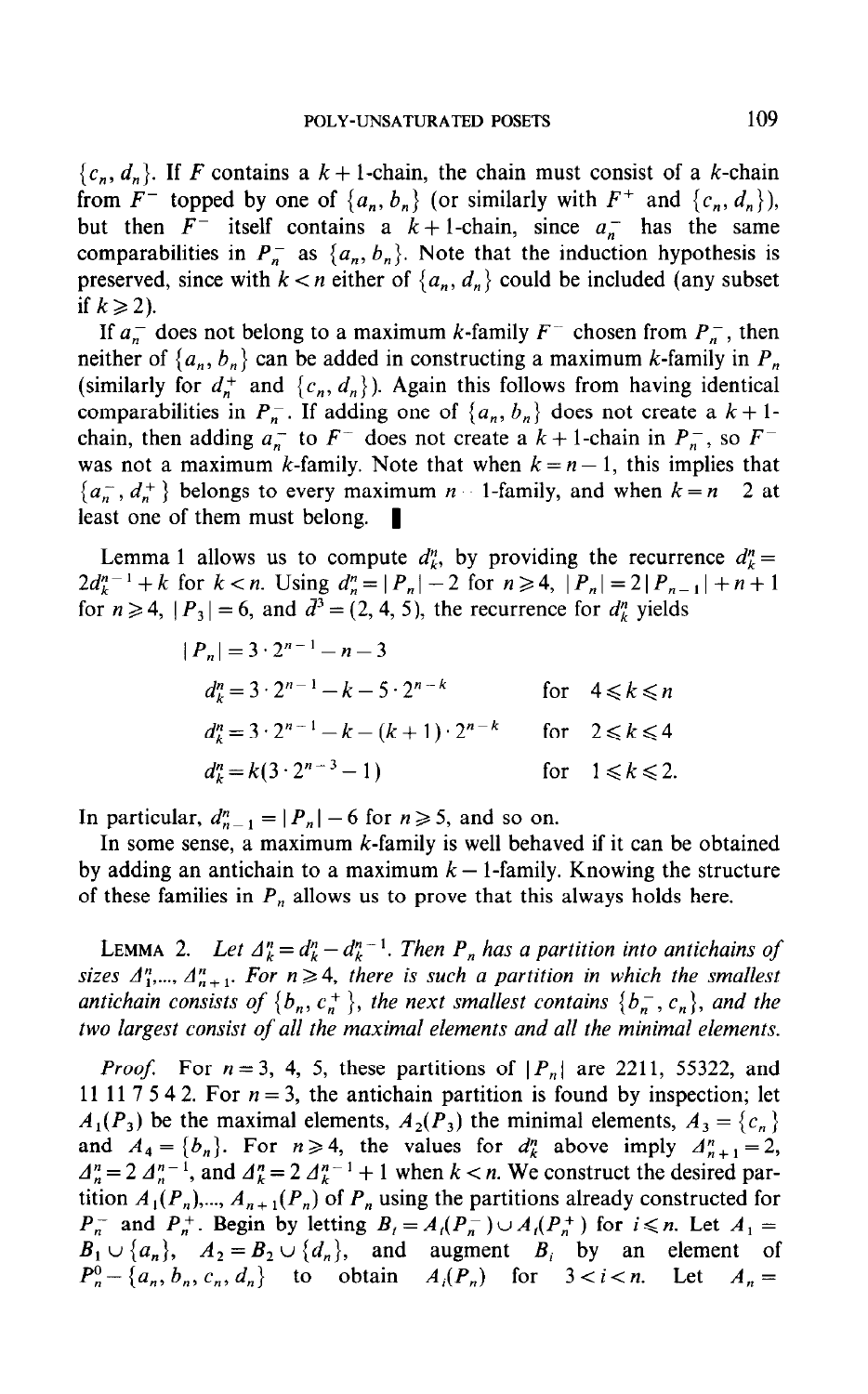${c_n, d_n}$ . If F contains a  $k+1$ -chain, the chain must consist of a k-chain from  $F^-$  topped by one of  $\{a_n, b_n\}$  (or similarly with  $F^+$  and  $\{c_n, d_n\}$ ), but then  $F^-$  itself contains a  $k+1$ -chain, since  $a_n^-$  has the same comparabilities in  $P_n^-$  as  $\{a_n, b_n\}$ . Note that the induction hypothesis is preserved, since with  $k < n$  either of  $\{a_n, d_n\}$  could be included (any subset if  $k \geqslant 2$ ).

If  $a_n^-$  does not belong to a maximum k-family  $F^-$  chosen from  $P_n^-$ , then neither of  $\{a_n, b_n\}$  can be added in constructing a maximum k-family in  $P_n$ (similarly for  $d_n^+$  and  $\{c_n, d_n\}$ ). Again this follows from having identical comparabilities in  $P_n^-$ . If adding one of  $\{a_n, b_n\}$  does not create a  $k+1$ chain, then adding  $a_n^-$  to  $F^-$  does not create a  $k + 1$ -chain in  $P_n^-$ , so  $F^$ was not a maximum k-family. Note that when  $k = n - 1$ , this implies that  ${a_n, d_n^+}$  belongs to every maximum  $n-1$ -family, and when  $k = n-2$  at least one of them must belong.  $\blacksquare$ 

Lemma 1 allows us to compute  $d_k^n$ , by providing the recurrence  $d_k^n =$  $2d_k^{n-1}+k$  for  $k < n$ . Using  $d_n^{\prime n} = |P_n| - 2$  for  $n \ge 4$ ,  $|P_n| = 2|P_{n-1}| + n+1$ for  $n \ge 4$ ,  $|P_3| = 6$ , and  $\overline{d}^3 = (2, 4, 5)$ , the recurrence for  $d_{\mu}^n$  yields

$$
|P_n| = 3 \cdot 2^{n-1} - n - 3
$$
  
\n
$$
d_k^n = 3 \cdot 2^{n-1} - k - 5 \cdot 2^{n-k}
$$
 for  $4 \le k \le n$   
\n
$$
d_k^n = 3 \cdot 2^{n-1} - k - (k+1) \cdot 2^{n-k}
$$
 for  $2 \le k \le 4$   
\n
$$
d_k^n = k(3 \cdot 2^{n-3} - 1)
$$
 for  $1 \le k \le 2$ .

In particular,  $d_{n-1}^n = |P_n| - 6$  for  $n \ge 5$ , and so on.

In some sense, a maximum  $k$ -family is well behaved if it can be obtained by adding an antichain to a maximum  $k - 1$ -family. Knowing the structure of these families in  $P_n$  allows us to prove that this always holds here.

LEMMA 2. Let  $\Delta_k^n = d_k^n - d_k^{n-1}$ . Then  $P_n$  has a partition into antichains of sizes  $A_1^n, \ldots, A_{n+1}^n$ . For  $n \geq 4$ , there is such a partition in which the smallest antichain consists of  $\{b_n, c_n^+\}$ , the next smallest contains  $\{b_n^-, c_n\}$ , and the two largest consist of all the maximal elements and all the minimal elements.

*Proof.* For  $n = 3$ , 4, 5, these partitions of  $|P_n|$  are 2211, 55322, and 11 11 7 5 4 2. For  $n = 3$ , the antichain partition is found by inspection; let  $A_1(P_3)$  be the maximal elements,  $A_2(P_3)$  the minimal elements,  $A_3 = \{c_n\}$ and  $A_4 = \{b_n\}$ . For  $n \ge 4$ , the values for  $d_k^n$  above imply  $A_{n+1}^n = 2$ ,  $A_n^n = 2A_n^{n-1}$ , and  $A_k^n = 2A_k^{n-1} + 1$  when  $k < n$ . We construct the desired partition  $A_1(P_n),..., A_{n+1}(P_n)$  of  $P_n$  using the partitions already constructed for  $P_n^-$  and  $P_n^+$ . Begin by letting  $B_i = A_i(P_n^-) \cup A_i(P_n^+)$  for  $i \le n$ . Let  $A_1 =$  $B_1 \cup \{a_n\}$ ,  $A_2 = B_2 \cup \{d_n\}$ , and augment  $B_i$  by an element of  $P_n^0$  - {a<sub>n</sub>, b<sub>n</sub>, c<sub>n</sub>, d<sub>n</sub>} to obtain  $A_i(P_n)$  for  $3 < i < n$ . Let  $A_n =$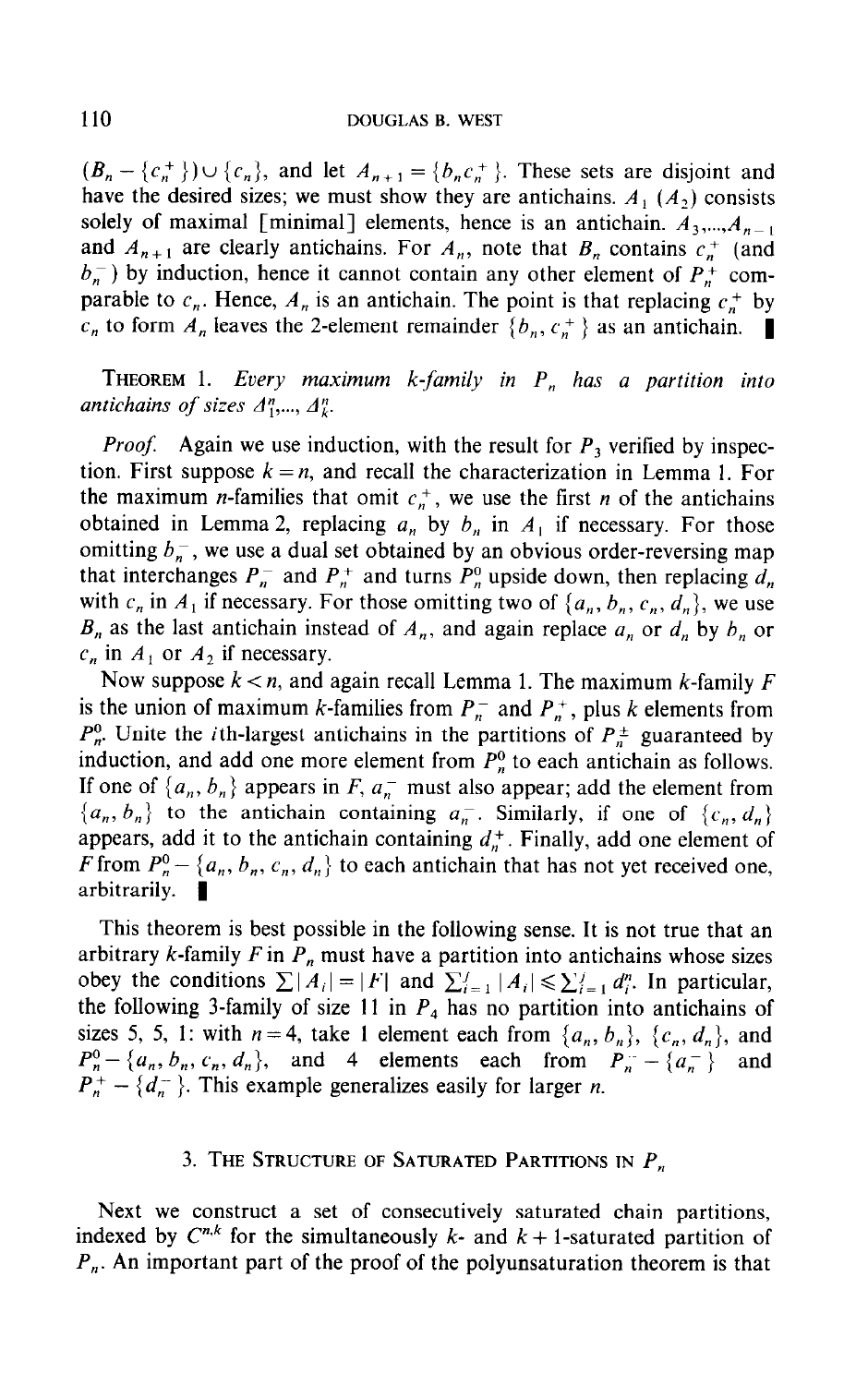$(B_n - \{c_n^+\}) \cup \{c_n\}$ , and let  $A_{n+1} = \{b_n c_n^+\}$ . These sets are disjoint and have the desired sizes; we must show they are antichains.  $A_1(A_2)$  consists solely of maximal [minimal] elements, hence is an antichain.  $A_3, ..., A_{n-1}$ and  $A_{n+1}$  are clearly antichains. For  $A_n$ , note that  $B_n$  contains  $c_n^+$  (and  $b_n$ ) by induction, hence it cannot contain any other element of  $P_n^+$  comparable to  $c_n$ . Hence,  $A_n$  is an antichain. The point is that replacing  $c_n^+$  by  $c_n$  to form  $A_n$  leaves the 2-element remainder  $\{b_n, c_n^+\}$  as an antichain.

THEOREM 1. Every maximum k-family in  $P_n$  has a partition into antichains of sizes  $A_1^n, \ldots, A_k^n$ .

*Proof.* Again we use induction, with the result for  $P_3$  verified by inspection. First suppose  $k = n$ , and recall the characterization in Lemma 1. For the maximum *n*-families that omit  $c_n^+$ , we use the first *n* of the antichains obtained in Lemma 2, replacing  $a_n$  by  $b_n$  in  $A_1$  if necessary. For those omitting  $b_n$ , we use a dual set obtained by an obvious order-reversing map that interchanges  $P_n^-$  and  $P_n^+$  and turns  $P_n^0$  upside down, then replacing  $d_n$ with  $c_n$  in  $A_1$  if necessary. For those omitting two of  $\{a_n, b_n, c_n, d_n\}$ , we use  $B_n$  as the last antichain instead of  $A_n$ , and again replace  $a_n$  or  $d_n$  by  $b_n$  or  $c_n$  in  $A_1$  or  $A_2$  if necessary.

Now suppose  $k < n$ , and again recall Lemma 1. The maximum k-family F is the union of maximum k-families from  $P_n^-$  and  $P_n^+$ , plus k elements from  $P_n^0$ . Unite the *i*th-largest antichains in the partitions of  $P_n^{\pm}$  guaranteed by induction, and add one more element from  $P_n^0$  to each antichain as follows. If one of  $\{a_n, b_n\}$  appears in F,  $a_n$  must also appear; add the element from  ${a_n, b_n}$  to the antichain containing  $a_n$ . Similarly, if one of  ${c_n, d_n}$ appears, add it to the antichain containing  $d_n^+$ . Finally, add one element of F from  $P_n^0$  - { $a_n$ ,  $b_n$ ,  $c_n$ ,  $d_n$ } to each antichain that has not yet received one, arbitrarily.  $\blacksquare$ 

This theorem is best possible in the following sense. It is not true that an arbitrary k-family  $F$  in  $P_n$  must have a partition into antichains whose sizes obey the conditions  $\sum |A_i| = |F|$  and  $\sum_{i=1}^j |A_i| \leq \sum_{i=1}^j d_i^n$ . In particular, the following 3-family of size 11 in  $P_4$  has no partition into antichains of sizes 5, 5, 1: with  $n = 4$ , take 1 element each from  $\{a_n, b_n\}$ ,  $\{c_n, d_n\}$ , and  $P_n^0$  - { $a_n$ ,  $b_n$ ,  $c_n$ ,  $d_n$ }, and 4 elements each from  $P_n^-$  - { $a_n^-$ } and  $P_{n}^{+} - \{d_{n}^{-}\}\$ . This example generalizes easily for larger *n*.

#### 3. THE STRUCTURE OF SATURATED PARTITIONS IN  $P_n$

Next we construct a set of consecutively saturated chain partitions, indexed by  $C^{n,k}$  for the simultaneously k- and  $k + 1$ -saturated partition of  $P_n$ . An important part of the proof of the polyunsaturation theorem is that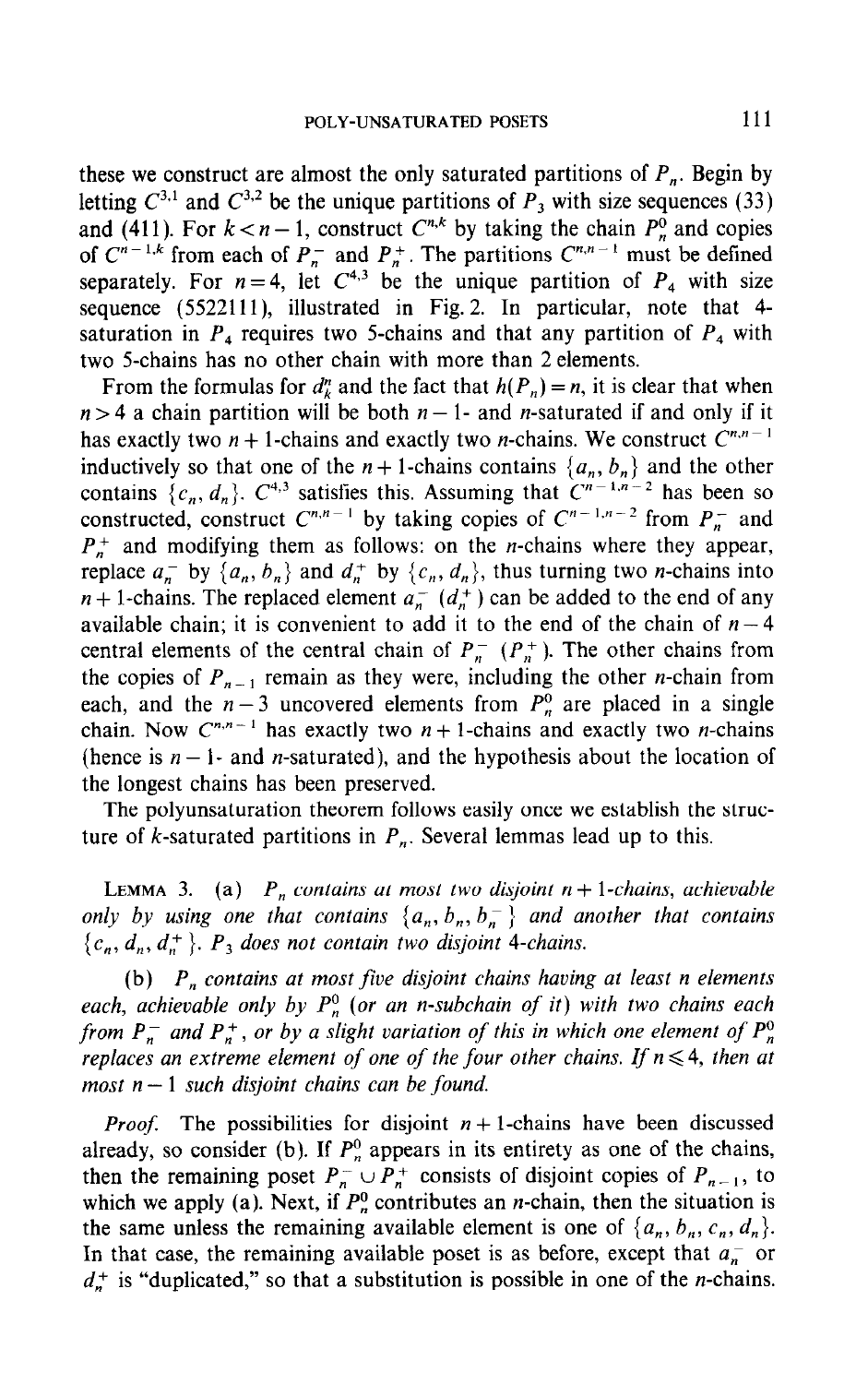these we construct are almost the only saturated partitions of  $P_n$ . Begin by letting  $C^{3,1}$  and  $C^{3,2}$  be the unique partitions of  $P_3$  with size sequences (33) and (411). For  $k < n - 1$ , construct  $C^{n,k}$  by taking the chain  $P_n^0$  and copies of  $C^{n-1,k}$  from each of  $P_n^-$  and  $P_n^+$ . The partitions  $C^{n,n-1}$  must be defined separately. For  $n = 4$ , let  $C^{4,3}$  be the unique partition of  $P_4$  with size sequence (5522111), illustrated in Fig. 2. In particular, note that 4saturation in  $P_4$  requires two 5-chains and that any partition of  $P_4$  with two 5-chains has no other chain with more than 2 elements.

From the formulas for  $d<sub>k</sub><sup>n</sup>$  and the fact that  $h(P<sub>n</sub>) = n$ , it is clear that when  $n > 4$  a chain partition will be both  $n - 1$ - and *n*-saturated if and only if it has exactly two  $n + 1$ -chains and exactly two *n*-chains. We construct  $C^{n,n-1}$ inductively so that one of the  $n + 1$ -chains contains  $\{a, b, \}$  and the other contains  $\{c, d\}$ ,  $C^{4,3}$  satisfies this. Assuming that  $C^{n-1,n-2}$  has been so constructed, construct  $C^{n,n-1}$  by taking copies of  $C^{n-1,n-2}$  from  $P^-$  and  $P_{n}^{+}$  and modifying them as follows: on the *n*-chains where they appear, replace  $a_n^-$  by  $\{a_n, b_n\}$  and  $d_n^+$  by  $\{c_n, d_n\}$ , thus turning two *n*-chains into  $n+1$ -chains. The replaced element  $a_n^-(d_n^+)$  can be added to the end of any available chain; it is convenient to add it to the end of the chain of  $n-4$ central elements of the central chain of  $P_n^-$  ( $P_n^+$ ). The other chains from the copies of  $P_{n-1}$  remain as they were, including the other *n*-chain from each, and the  $n-3$  uncovered elements from  $P_n^0$  are placed in a single chain. Now  $C^{n,n-1}$  has exactly two  $n+1$ -chains and exactly two *n*-chains (hence is  $n-1$ - and *n*-saturated), and the hypothesis about the location of the longest chains has been preserved.

The polyunsaturation theorem follows easily once we establish the structure of k-saturated partitions in  $P_n$ . Several lemmas lead up to this.

LEMMA 3. (a)  $P_n$  contains at most two disjoint  $n + 1$ -chains, achievable only by using one that contains  $\{a_n, b_n, b_n^-\}$  and another that contains  $\{c_n, d_n, d_n^+\}$ .  $P_3$  does not contain two disjoint 4-chains.

(b)  $P_n$  contains at most five disjoint chains having at least n elements each, achievable only by  $P_n^0$  (or an n-subchain of it) with two chains each from  $P_n^-$  and  $P_n^+$ , or by a slight variation of this in which one element of  $P_n^0$ replaces an extreme element of one of the four other chains. If  $n \leq 4$ , then at most  $n-1$  such disjoint chains can be found.

*Proof.* The possibilities for disjoint  $n+1$ -chains have been discussed  $1100$ . The possibilities for disjoint  $n+1$ -chains have occur diseassed  $t_{\text{max}}$  and  $t_{\text{max}}$  (*v*). If  $t_{\text{n}}$  appears in its entries as one of the ename, then the remaining poset  $P_n^-\cup P_n^+$  consists of disjoint copies of  $P_{n-1}$ , to which we apply (a). Next, if  $P_n^0$  contributes an *n*-chain, then the situation is the same unless the remaining available element is one of  $\{a_n, b_n, c_n, d_n\}$ . In that case, the remaining available poset is as before, except that  $a_n^-$  or  $d_n^+$  is "duplicated," so that a substitution is possible in one of the *n*-chains.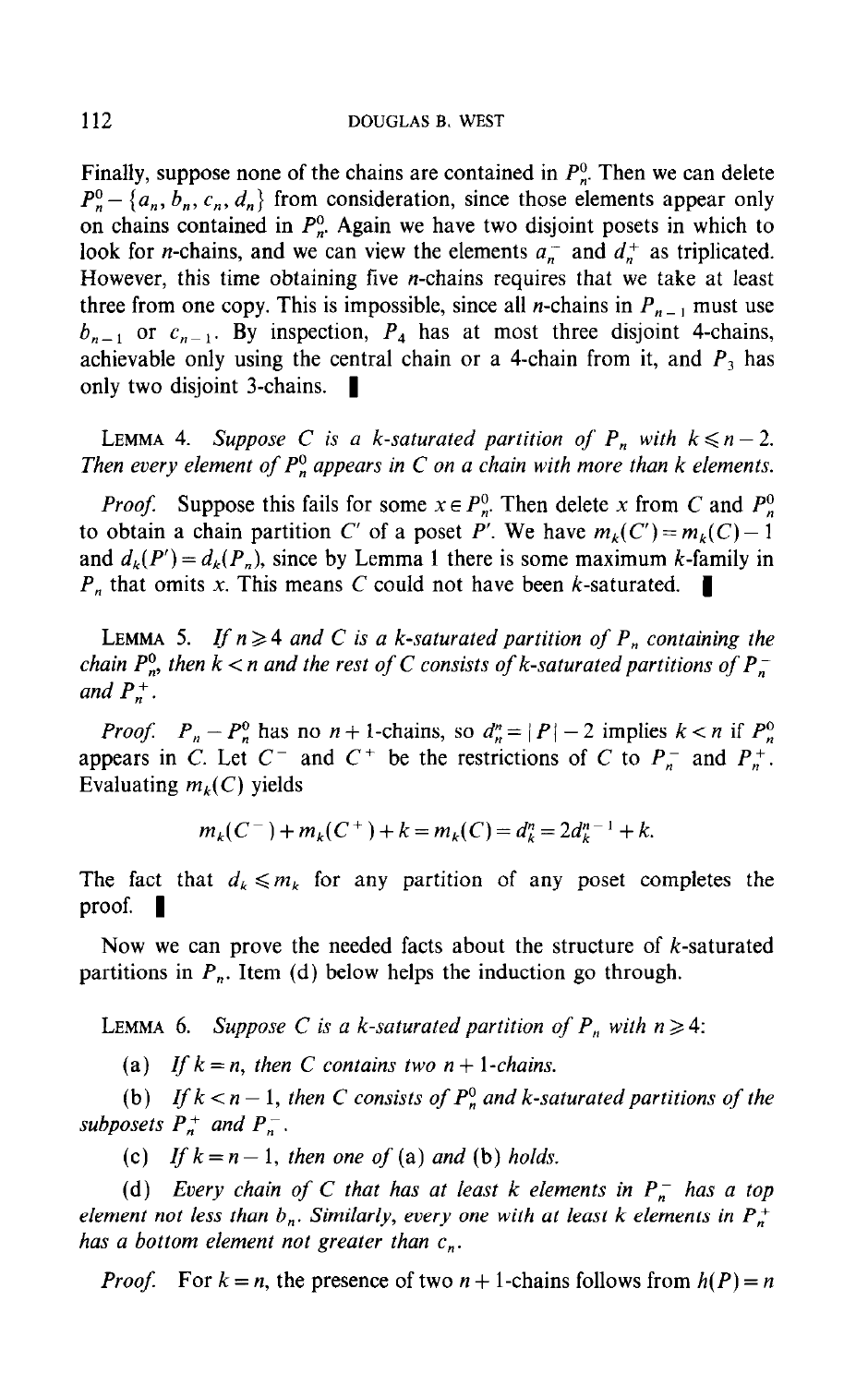Finally, suppose none of the chains are contained in  $P_n^0$ . Then we can delete  $P_n^0$  - {a<sub>n</sub>, b<sub>n</sub>, c<sub>n</sub>, d<sub>n</sub>} from consideration, since those elements appear only on chains contained in  $P_n^0$ . Again we have two disjoint posets in which to look for *n*-chains, and we can view the elements  $a_n^-$  and  $d_n^+$  as triplicated. However, this time obtaining five n-chains requires that we take at least three from one copy. This is impossible, since all *n*-chains in  $P_{n-1}$  must use  $b_{n-1}$  or  $c_{n-1}$ . By inspection,  $P_4$  has at most three disjoint 4-chains, achievable only using the central chain or a 4-chain from it, and  $P_3$  has only two disjoint 3-chains.  $\blacksquare$ 

LEMMA 4. Suppose C is a k-saturated partition of  $P_n$  with  $k \leq n-2$ . Then every element of  $P_n^0$  appears in C on a chain with more than k elements.

*Proof.* Suppose this fails for some  $x \in P_n^0$ . Then delete x from C and  $P_n^0$ to obtain a chain partition C' of a poset P'. We have  $m_k(C) = m_k(C) - 1$ and  $d_k(P') = d_k(P_n)$ , since by Lemma 1 there is some maximum k-family in  $P_n$  that omits x. This means C could not have been k-saturated.

LEMMA 5. If  $n \geq 4$  and C is a k-saturated partition of  $P_n$  containing the chain  $P_n^0$ , then  $k < n$  and the rest of C consists of k-saturated partitions of  $P_n^$ and  $P_n^+$ .

*Proof.*  $P_n - P_n^0$  has no  $n + 1$ -chains, so  $d_n^n = |P| - 2$  implies  $k < n$  if  $P_n^0$ appears in  $C$ . Let  $C^-$  and  $C^+$  be the restrictions of  $C$  to  $P^-$  and  $P^+$ . Evaluating mk( C) yields

$$
m_k(C^-) + m_k(C^+) + k = m_k(C) = d_k^n = 2d_k^{n-1} + k.
$$

The fact that  $d_k \leq m_k$  for any partition of any poset completes the proof.  $\blacksquare$ 

Now we can prove the needed facts about the structure of k-saturated partitions in  $P_n$ . Item (d) below helps the induction go through.

LEMMA 6. Suppose C is a k-saturated partition of  $P_n$  with  $n \ge 4$ :

(a) If  $k = n$ , then C contains two  $n + 1$ -chains.

(b)  $\mathcal{L}$  is the saturated partition of  $\mathcal{L}$  and  $\mathcal{L}$  and  $\mathcal{L}$  and  $\mathcal{L}$  then the theory of the saturated partitions of the saturated partitions of the saturated partitions of the saturated partitions of  $\left(\begin{matrix}0\end{matrix}\right)$   $\begin{matrix}n\\j\end{matrix}$   $\begin{matrix}n\\k\end{matrix}$ subposets  $P_n^+$  and  $P_n^-$ .<br>(c) If  $k = n - 1$ , then one of (a) and (b) holds.

(d) Every chain of C that has at least k elements in  $\mathcal{C}$ (a) Every chain b, C that has at least k elements in  $F_n$  has a top element not less than  $b_n$ . Similarly, every one with at least k elements in  $P_n^+$  has a bottom element not greater than  $c_n$ .

 $\mathbb{P}^{\mathcal{P}}$  , the proof two n  $\mathbb{P}^{\mathcal{P}}$  , the presence of two n  $\mathbb{P}^{\mathcal{P}}$  , note that follows from h(P)  $=$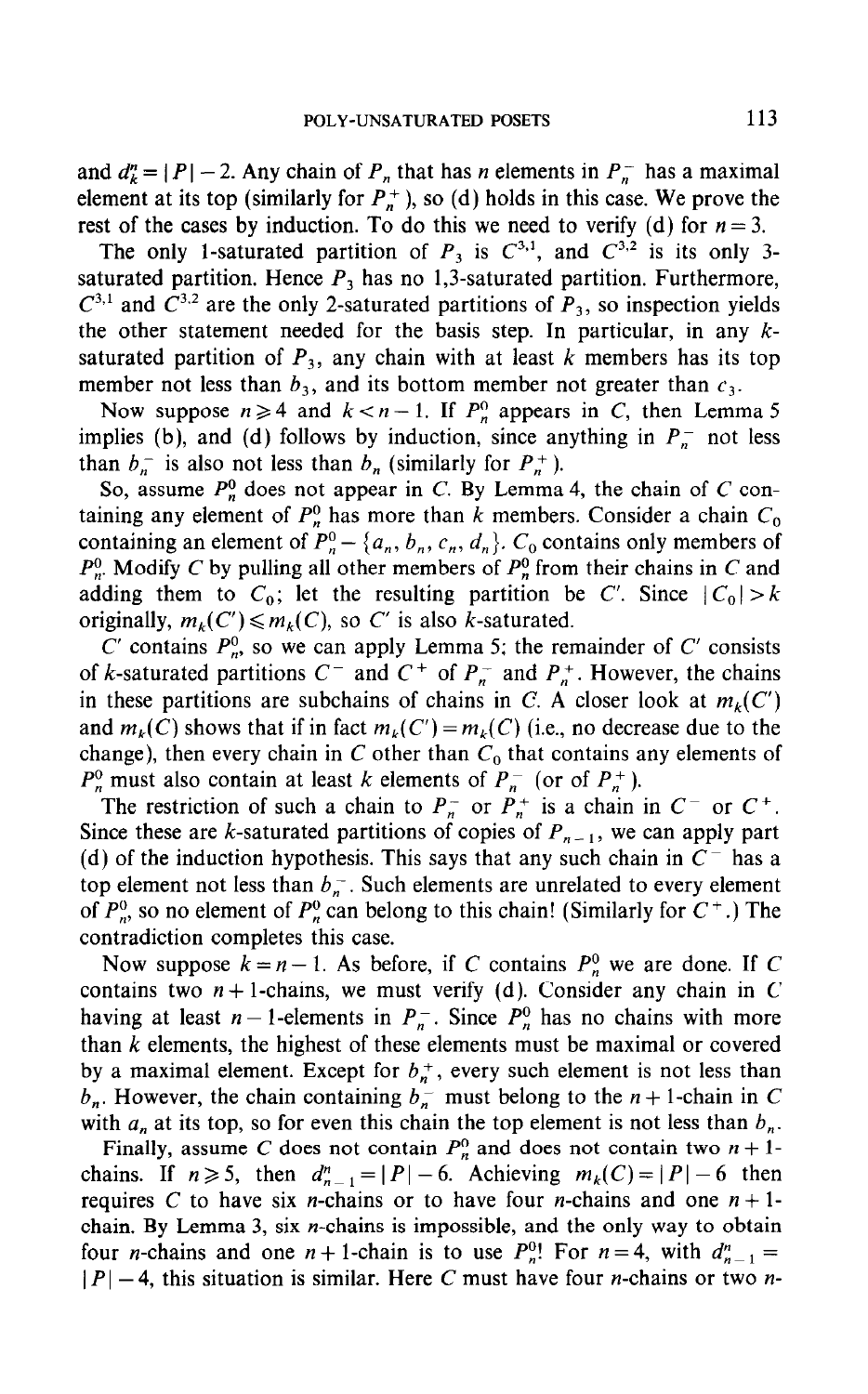and  $d_k^n = |P| - 2$ . Any chain of  $P_n$  that has *n* elements in  $P_n$  has a maximal element at its top (similarly for  $P_n^+$ ), so (d) holds in this case. We prove the rest of the cases by induction. To do this we need to verify (d) for  $n = 3$ .

The only 1-saturated partition of  $P_3$  is  $C^{3,1}$ , and  $C^{3,2}$  is its only 3saturated partition. Hence  $P_3$  has no 1,3-saturated partition. Furthermore,  $C^{3,1}$  and  $C^{3,2}$  are the only 2-saturated partitions of  $P_3$ , so inspection yields the other statement needed for the basis step. In particular, in any  $k$ saturated partition of  $P_3$ , any chain with at least k members has its top member not less than  $b_3$ , and its bottom member not greater than  $c_3$ .

Now suppose  $n \ge 4$  and  $k < n - 1$ . If  $P_n^0$  appears in C, then Lemma 5 implies (b), and (d) follows by induction, since anything in  $P_n^-$  not less than  $b_n^-$  is also not less than  $b_n$  (similarly for  $P_n^+$ ).

So, assume  $P_n^0$  does not appear in C. By Lemma 4, the chain of C containing any element of  $P_n^0$  has more than k members. Consider a chain  $C_0$ containing an element of  $P_n^0 - \{a_n, b_n, c_n, d_n\}$ .  $C_0$  contains only members of  $P_r^0$ . Modify C by pulling all other members of  $P_n^0$  from their chains in C and adding them to  $C_0$ ; let the resulting partition be C'. Since  $|C_0| > k$ originally,  $m_k(C') \leq m_k(C)$ , so C' is also k-saturated.

C' contains  $P_n^0$ , so we can apply Lemma 5; the remainder of C' consists of k-saturated partitions  $C^-$  and  $C^+$  of  $P_n^-$  and  $P_n^+$ . However, the chains in these partitions are subchains of chains in C. A closer look at  $m_k(C')$ and  $m_k(C)$  shows that if in fact  $m_k(C') = m_k(C)$  (i.e., no decrease due to the change), then every chain in C other than  $C_0$  that contains any elements of  $P_n^0$  must also contain at least k elements of  $P_n^-$  (or of  $P_n^+$ ).

The restriction of such a chain to  $P_n^-$  or  $P_n^+$  is a chain in  $C^-$  or  $C^+$ . Since these are k-saturated partitions of copies of  $P_{n-1}$ , we can apply part (d) of the induction hypothesis. This says that any such chain in  $C^-$  has a top element not less than  $b_n^-$ . Such elements are unrelated to every element of  $P_n^0$ , so no element of  $P_n^0$  can belong to this chain! (Similarly for  $C^+$ .) The contradiction completes this case.

Now suppose  $k = n - 1$ . As before, if C contains  $P_n^0$  we are done. If C contains two  $n+1$ -chains, we must verify (d). Consider any chain in C having at least  $n-1$ -elements in  $P_n^-$ . Since  $P_n^0$  has no chains with more than  $k$  elements, the highest of these elements must be maximal or covered by a maximal element. Except for  $b_n^+$ , every such element is not less than  $b_n$ . However, the chain containing  $b_n$  must belong to the  $n + 1$ -chain in C with  $a_n$  at its top, so for even this chain the top element is not less than  $b_n$ .

Finally, assume C does not contain  $P_n^0$  and does not contain two  $n+1$ chains. If  $n \ge 5$ , then  $d_{n-1}^n = |P| - 6$ . Achieving  $m_k(C) = |P| - 6$  then requires C to have six *n*-chains or to have four *n*-chains and one  $n + 1$ chain. By Lemma 3, six *n*-chains is impossible, and the only way to obtain four *n*-chains and one  $n + 1$ -chain is to use  $P_n^0$ ! For  $n = 4$ , with  $d_{n-1}^n =$  $|P| - 4$ , this situation is similar. Here C must have four *n*-chains or two *n*-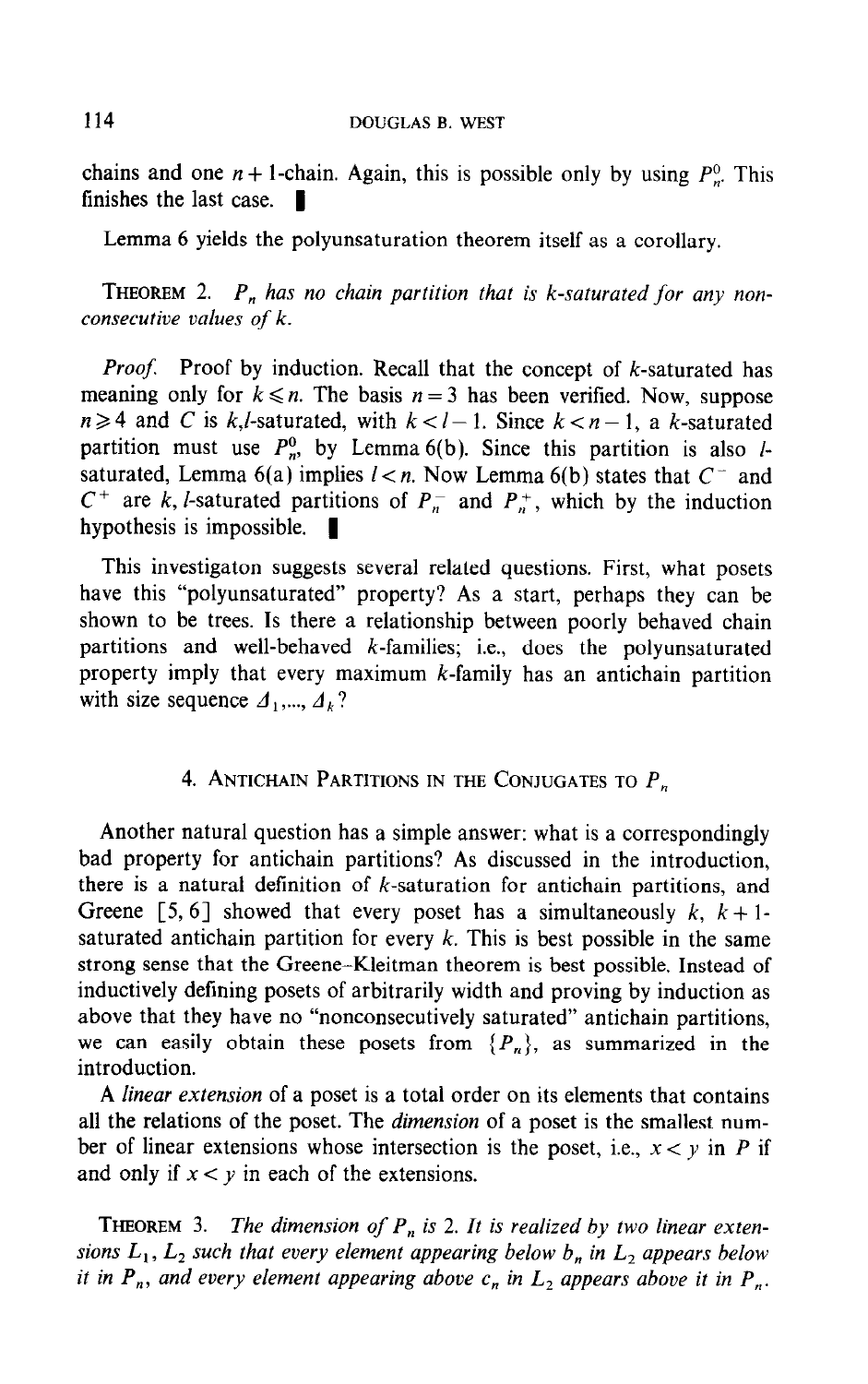chains and one  $n + 1$ -chain. Again, this is possible only by using  $P_r^0$ . This finishes the last case.  $\blacksquare$ 

Lemma 6 yields the polyunsaturation theorem itself as a corollary.

**THEOREM** 2.  $P_n$  has no chain partition that is k-saturated for any nonconsecutive values of k.

**Proof.** Proof by induction. Recall that the concept of k-saturated has meaning only for  $k \leq n$ . The basis  $n = 3$  has been verified. Now, suppose  $n \geq 4$  and C is k,*l*-saturated, with  $k < l-1$ . Since  $k < n-1$ , a k-saturated partition must use  $P_n^0$ , by Lemma 6(b). Since this partition is also *l*saturated, Lemma 6(a) implies  $l < n$ . Now Lemma 6(b) states that  $C^-$  and  $C^+$  are k, l-saturated partitions of  $P_n^-$  and  $P_n^+$ , which by the induction hypothesis is impossible.  $\blacksquare$ 

This investigaton suggests several related questions. First, what posets have this "polyunsaturated" property? As a start, perhaps they can be shown to be trees. Is there a relationship between poorly behaved chain partitions and well-behaved  $k$ -families; i.e., does the polyunsaturated property imply that every maximum  $k$ -family has an antichain partition with size sequence  $\Delta_1, ..., \Delta_k$ ?

## 4. ANTICHAIN PARTITIONS IN THE CONJUGATES TO  $P_n$

Another natural question has a simple answer: what is a correspondingly bad property for antichain partitions? As discussed in the introduction, there is a natural definition of  $k$ -saturation for antichain partitions, and Greene [5, 6] showed that every poset has a simultaneously  $k$ ,  $k + 1$ saturated antichain partition for every  $k$ . This is best possible in the same strong sense that the Greene-Kleitman theorem is best possible. Instead of inductively defining posets of arbitrarily width and proving by induction as above that they have no "nonconsecutively saturated" antichain partitions, we can easily obtain these posets from  $\{P_n\}$ , as summarized in the introduction.

A linear extension of a poset is a total order on its elements that contains all the relations of the poset. The dimension of a poset is the smallest number of linear extensions whose intersection is the poset, i.e.,  $x < y$  in P if and only if  $x < y$  in each of the extensions.

 $T$  is 2. The dimension of P, is 2. It is 2. It is 2. It is 2. It is 2. It is realized by two linear extension of  $T$ **Since The Example 1** L, in L, such that the equal by two under extensions  $L_1$ ,  $L_2$  such that every element appearing below  $b_n$  in  $L_2$  appears below<br>it in  $P_n$ , and every element appearing above  $c_n$  in  $L_2$  appears above it in  $P_n$ .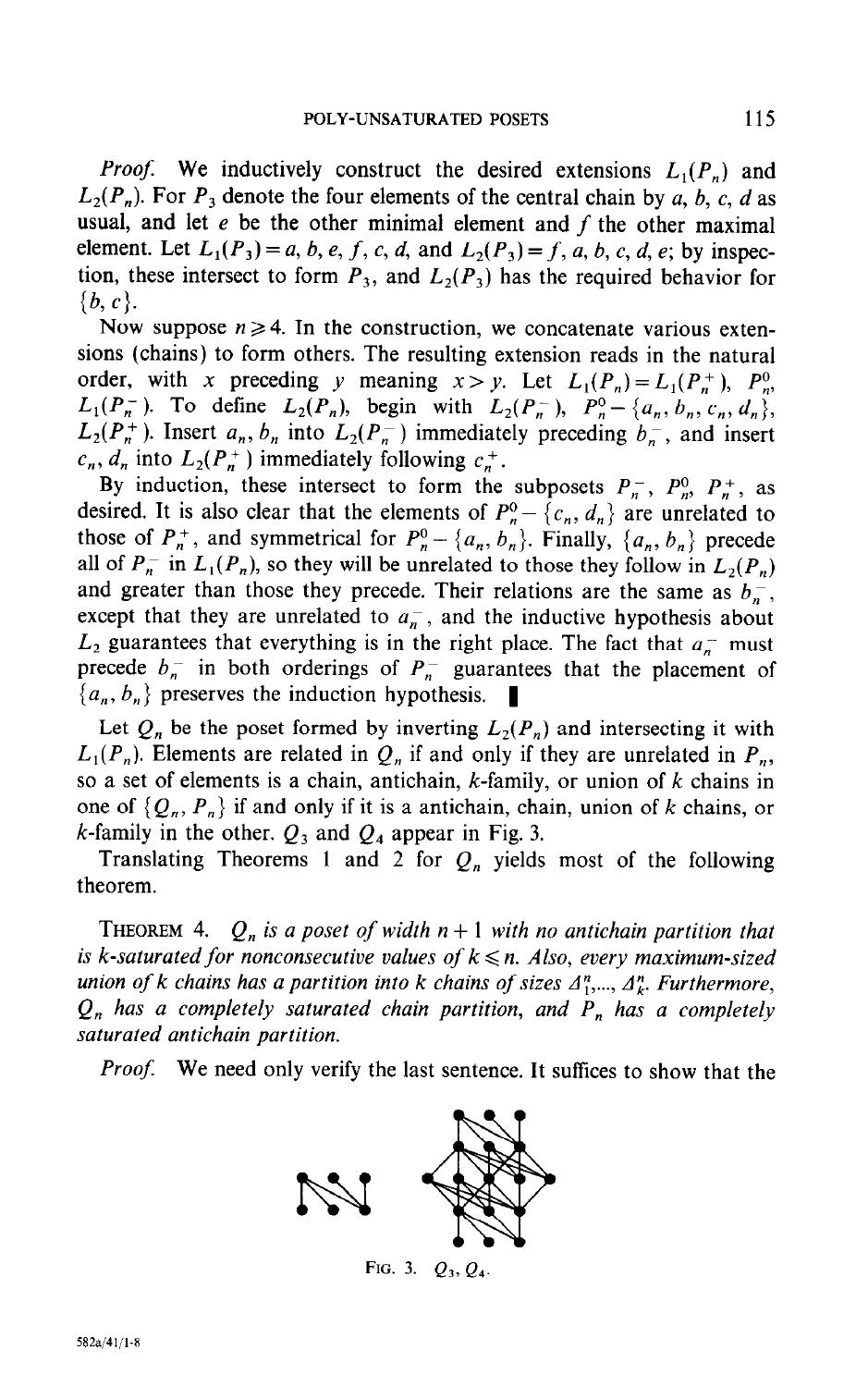*Proof.* We inductively construct the desired extensions  $L_1(P_n)$  and  $L_2(P_n)$ . For  $P_3$  denote the four elements of the central chain by a, b, c, d as usual, and let  $e$  be the other minimal element and  $f$  the other maximal element. Let  $L_1(P_3) = a, b, e, f, c, d$ , and  $L_2(P_3) = f, a, b, c, d, e$ ; by inspection, these intersect to form  $P_3$ , and  $L_2(P_3)$  has the required behavior for  $\{b, c\}.$ 

Now suppose  $n \geq 4$ . In the construction, we concatenate various extensions (chains) to form others. The resulting extension reads in the natural order, with x preceding y meaning  $x > y$ . Let  $L_1(P_n) = L_1(P_n^+)$ ,  $P_n^0$ ,  $L_1(P_n^-)$ . To define  $L_2(P_n)$ , begin with  $L_2(P_n^-)$ ,  $P_n^0 - \{a_n, b_n, c_n, d_n\}$ ,  $L_2(P_n^+)$ . Insert  $a_n, b_n$  into  $L_2(P_n^-)$  immediately preceding  $b_n^-$ , and insert  $c_n$ ,  $d_n$  into  $L_2(P_n^+)$  immediately following  $c_n^+$ .

By induction, these intersect to form the subposets  $P_n$ ,  $P_n^0$ ,  $P_n^+$ , as desired. It is also clear that the elements of  $P_n^0 - \{c_n, d_n\}$  are unrelated to those of  $P_n^+$ , and symmetrical for  $P_n^0 - \{a_n, b_n\}$ . Finally,  $\{a_n, b_n\}$  precede all of  $P_n^-$  in  $L_1(P_n)$ , so they will be unrelated to those they follow in  $L_2(P_n)$ and greater than those they precede. Their relations are the same as  $b_n$ , except that they are unrelated to  $a_n^-$ , and the inductive hypothesis about  $L_2$  guarantees that everything is in the right place. The fact that  $a_n$  must precede  $b_n$  in both orderings of  $P_n$  guarantees that the placement of  $\{a_n, b_n\}$  preserves the induction hypothesis.

Let  $Q_n$  be the poset formed by inverting  $L_2(P_n)$  and intersecting it with  $L_1(P_n)$ . Elements are related in  $Q_n$  if and only if they are unrelated in  $P_n$ , so a set of elements is a chain, antichain,  $k$ -family, or union of  $k$  chains in one of  $\{Q_n, P_n\}$  if and only if it is a antichain, chain, union of k chains, or k-family in the other.  $Q_3$  and  $Q_4$  appear in Fig. 3.

Translating Theorems 1 and 2 for  $Q_n$  yields most of the following theorem.

**THEOREM** 4.  $Q_n$  is a poset of width  $n+1$  with no antichain partition that is k-saturated for nonconsecutive values of  $k \leq n$ . Also, every maximum-sized union of k chains has a partition into k chains of sizes  $A_1^n, \ldots, A_k^n$ . Furthermore,  $Q_n$  has a completely saturated chain partition, and  $P_n$  has a completely saturated antichain partition.

Proof. We need only verify the last sentence. It suffices to show that the



FIG. 3.  $Q_3, Q_4$ .